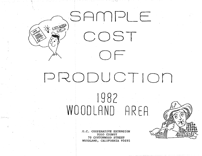

'\

# PRODUCT Jon f 9 8 2 WOODLAND AREA

.U.C. COOPERATIVE EXTENSION YOLO COUNTY 70 COTTONWOOD STREET WOODLAND, CALIFORNIA 95695

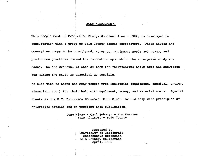## ACKNOWLEDGEMENTS

This Sample Cost of Production Study, Woodland Area - 1982, is developed in consultation with a group of Yolo County farmer cooperators. Their advice and counsel on crops to be considered, acreages, equipment needs and usage, and production practices formed the foundation upon which the enterprise study was based. We are grateful to each of them for volunteering their time and knowledge for making the study as practical as possible.

We also wish to thank the many people from industries (equipment, chemical, energy, financial, etc.) for their help with equipment, money, and material costs. Special thanks is due u,c. Extension Economist Kent Olson for his help with principles of enterprise studies and in proofing this publication.

> Gene Miyao - Carl Schoner - Tom Kearney Farm Advisors - Yolo County

> > Prepared by University of California Cooperative Extension Yolo County, California April, 1982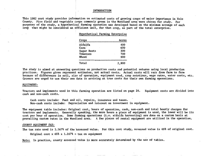## INTRODUCTION

This 1982 cost study provides information on estimated costs of growing crops of major importance in Yolo County. Five field and vegetable crops commonly grown in the Woodland area were chosen for study. For purposes of the study, a hypothetical farming operation was developed based on the minimum acreage of each crop that might be considered an efficient unit, for that crop, as part of the total enterprise.

> Hypothetical Farming Enterprise Crops Acres

| Alfalfa     | 400   |
|-------------|-------|
| Corni       | 600   |
| Sugar Beets | 300   |
| Tomatoes    | 700   |
| Wheat       | 900   |
|             |       |
| Total       | 2,900 |

The study is aimed at answering questions on production costs and potential returns using local production practices. Figures given represent estimates, not actual costs. Actual costs will vary from farm to farm because of differences in soil, size of operation, equipment used, crop rotations, wage rates, water costs, etc. Growers axe urged to use their own data in arriving at true costs for their own farming operations.

## EQUIPMENT:

Tractors and implements used in this farming operation are listed on page 24. cash and non-cash costs. Equipment costs are divided into

Cash costs include: Fuel and oil, repairs, insurance and taxes. Non-cash costs include: Depreciation and interest on investment in equipment.

The equipment table includes: Original cost, hours of operation, cash, non-cash and total hourly charges for tractors and implements. Generally speaking, the more hours a piece of equipment is used, the lower will be its cost per hour of operation. Some farming operations {i.e. alfalfa harvesting) are· done on a custom basis at prevailing custom rates in the Woodland area. A few pieces of rental equipment are utilized in the operation.

## COUNTY EQUIPMENT TAX:

The tax rate used is 1.167% of the assessed value. For this cost study, assessed value is 65% of original cost.

Original cost x 65% x 1.167% = tax on equipment

Note: In practice, county assessed value is more accurately determined by the use of tables.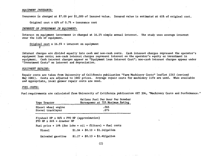## *EQUIPMENT INSURANCE:*

Insurance is charged at \$7.00 per \$1,000 of insured value. Insured value is estimated at 65% of original cost.

Original cost x 65% of  $0.7%$  = insurance cost

### *INTEREST ON INVESTMENT IN EQUIPMENT:*

Interest on equipment investment is charged at 16.5% simple annual interest. The study uses average interest over the life of equipment.

Original cost x 16.5% = interest on equipment 2

Interest charges are divided equally into cash and non-cash costs. Cash interest charges represent the operator's equipment loan costs; non-cash interest charges represent interest on the operator's equity or investment in equipment. Cash interest charges appear as ''Equipment Loan Interest Cost"; non-cash interest charges appear under "Investment Costs" as interest and depreciation.

## *EQUIPMENT REPAIRS:*

Repair costs are taken from University of California publication "Farm Machinery Costs" leaflet 2263 (revised May 1981). Costs are adjusted to 1982 prices. Average repair costs for machinery life are used. When available and appropriate, local grower repair costs are used.

#### *FUEL COSTS:*

Fuel requirements are calculated from University of California publication AXT 336, "Machinery Costs and Performance."

| Type Tractor                                                                | Gallons Fuel Per Hour Per Drawbar<br>Horsepower at 75% Maximum Rating |  |  |  |  |  |  |  |
|-----------------------------------------------------------------------------|-----------------------------------------------------------------------|--|--|--|--|--|--|--|
| Diesel wheel engine<br>Diesel tracklayer                                    | .065<br>.075                                                          |  |  |  |  |  |  |  |
| Flywheel HP $x$ 86% = PTO HP (approximation)<br>PTO HP $x$ 86% = drawbar HP |                                                                       |  |  |  |  |  |  |  |
| Fuel price + 10% (for lube + oil + filters) = fuel costs                    |                                                                       |  |  |  |  |  |  |  |
| Diesel                                                                      | $$1.04 + $0.10 = $1.14/gallon$                                        |  |  |  |  |  |  |  |
| Unleaded gasoline                                                           | $$1.27 + $0.13 = $1.40/gallon$                                        |  |  |  |  |  |  |  |

(2)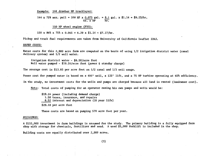Example: 144 drawbar HP tracklayer:

144 x 75% max. pull = 108 HP x 0.075 gal. = 8.1 gal. x \$1.14 = \$9.23/hr. hr. x HP hr.

150 HP wheel engine (PTO):

150 x 86% x 75% x 0.065 = 6.29 x \$1.14 = \$7.17/hr.

Pickup and truck fuel requirements are taken from University of California leaflet 2263.

#### *WATER COSTS:*

Water costs for this 2,900 acre farm are computed on the basis of using 1/2 irrigation district water (canal delivery system) and 1/2 well water.

Irrigation district water - \$8.50/acre foot Well water pumped - \$19.16/acre foot (power & standby charge)

The average cost is \$13.83 per acre foot on 1/2 canal and 1/2 well usage.

Power cost for pumped water is based on a 405' well, a 125' lift, and a 75 HP turbine operating at 65% efficiency.

In the study, no investment costs for the wells and pumps are charged because all land is rented (landowner cost).

Note: Total costs of pumping for an operator owning his own pumps and wells would be:

\$19.16 power (including demand charge) 1.50 taxes, insurance, and repairs 8.52 interest and depreciation (20 year life) \$29.18 per acre foot

These costs are based on pumping 570 acre feet per year.

#### *BUILDINGS:*

A \$155,000 investment in farm buildings is assumed for the study. The primary building is a fully equipped farm shop with storage for chemicals, fertilizer and seed. A used \$5,000 forklift is included in the shop.

Building costs are equally distributed over 2,900 acres.

(3)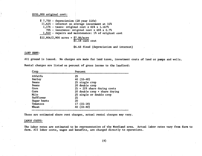# \$155,000 original cost:

 $$ 7,750 - depreciation (20 year life)$ 11,625 - interest on average investment at 15% 1,176 - taxes: original cost x 65% x 1.167% 705 - insurance: original cost x 65% x 0.7% 1,550 - repairs and maintenance: 1% of original cost  $$22,806/2,900$  acres =  $$7.86/acre$ \$1.18 cash cost

# \$6.68 fixed {depreciation and interest)

#### LAND RENT:

All ground is leased. No charges are made for land taxes, investment costs of land or pumps and wells.

| Crop              | Percent                                |
|-------------------|----------------------------------------|
| Alfalfa<br>25     |                                        |
| Barley            | $40(33-40)$                            |
| Beans             | 25 single crop                         |
| <b>Beans</b>      | 20 double crop                         |
| Corn              | $25 + 25$ % share drying costs         |
| Corn              | 20 double $\text{crop}$ + share drying |
| Milo              | 25 single or double crop               |
| Safflower<br>25   |                                        |
| 20<br>Sugar beets |                                        |
| Tomatoes          | $17(15-18)$                            |
| Wheat             | $40(33-40)$                            |

Rental charges are listed as percent of gross income to the landlord:

These are estimated share rent charges, actual rental charges may vary.

#### *LABOR COSTS:*

The labor rates are estimated to be representative of the Woodland area. Actual labor rates vary from farm to farm. All labor costs, wages and benefits, are charged directly to operations.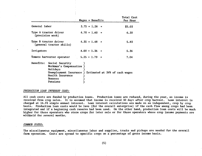|               |                                                                                                    | Wages + Benefits                                        | Total Cost<br>Per Hour |
|---------------|----------------------------------------------------------------------------------------------------|---------------------------------------------------------|------------------------|
| General labor |                                                                                                    | $3.75 + 1.28 =$                                         | \$5.03                 |
|               | Type A tractor driver<br>(precision work)                                                          | $4.70 + 1.60 =$                                         | 6.30                   |
|               | Type B tractor driver<br>(general tractor skills)                                                  | $4.35 + 1.48 =$                                         | 5.83                   |
| Irrigators    |                                                                                                    | $4.00 + 1.36 =$                                         | 5.36                   |
|               | Tomato harvester operator                                                                          | $5.25 + 1.79$<br>$\equiv$                               | 7.04                   |
| Benefits:     | Social Security<br>Workman's Compensation )<br>Holidays<br>Health Insurance<br>Bonuses<br>Pensions | Unemployment Insurance ) Estimated at 34% of cash wages |                        |

#### *PRODUCTION WAN INTEREST COST:*

All cash costs are funded by production loans. Production loans are reduced, during the year, as income is received from crop sales. It is assumed that income is received 30 days after crop harvest. Loan interest is charged at 16.5% simple annual interest. Loan interest calculations are made on an independent, crop by crop basis. Production loan costs would be less (for the overall enterprise) if the cash flow among crops had been integrated and if a beginning cash reserve had been used. On the other hand, production loan costs will be much higher for those operators who store crops for later sale or for those operators whose crop income payments are withheld for several months.

#### *COMMON COSTS:*

The miscellaneous equipment, miscellaneous labor and supplies, trucks and pickups are needed for the overall farm operation. Costs are spread to specific crops on a percentage of gross income basis.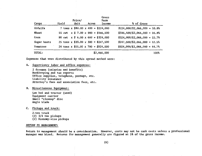| Crops       | Price/<br>Unit<br>Yield | Gross<br>Farm<br>Income<br>Acres         | % of Gross                      |
|-------------|-------------------------|------------------------------------------|---------------------------------|
| Alfalfa     |                         | 7 tons x $$80.00 \times 400 = $224,000$  | $$224,000$ /\$2,066,000 = 10.8% |
| Wheat       |                         | 55 cwt $x$ \$ 7.00 x 900 = \$346,500     | $$346,500/\$2,066,000 = 16.8\%$ |
| Corn        |                         | 90 cwt $x $ 6.00 x 600 = $324,000$       | $$324,000/\$2,066,000 = 15.7\%$ |
| Sugar beets |                         | 25 tons x $$33.00 \times 300 = $247,500$ | $$247,500/\$2,066,000 = 12.5\%$ |
| Tomatoes    |                         | 24 tons x $$55.00 \times 700 = $924,000$ | $$924,000/\$2,066,000 = 44.7\%$ |
| TOTAL:      |                         | \$2,066,000                              | 100%                            |

Expenses that were distributed by this spread method were:

A. Supervisory labor and office expenses:

2 foremen (salaries and benefits) Bookkeeping,and tax reports Office supplies, telephone, postage, etc. Liability insurance Attorney's fees and association fees, etc.

# B. Miscellaneous Equipment:

Low bed and tractor (used) Equipment carrier Small "cleanup" disc Angle blade

C. Pickups and truck:

2-ton truck (2) 3/4 ton pickups (2) Economy-size pickups

## RETURN TO MANAGEMENT:

Return to management should be a consideration. However, costs may not be cash costs unless a professional manager was hired. Returns for management generally are figured at 5% of the gross income.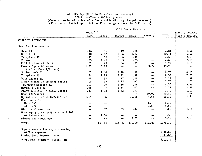# Alfalfa Hay (Cost to Establish and Destroy) 100 Acres/Year - following wheat '(Wheat straw baled or burned - One stubble discing charged to wheat) (50 acres sprinkled up in Fall + 50 acres germinated by Fall rains)

|                                        | Cash Costs Per Acre |         |           |                   |                          |              |                |  |
|----------------------------------------|---------------------|---------|-----------|-------------------|--------------------------|--------------|----------------|--|
|                                        | Hours/ [            |         |           |                   |                          |              | Int. & Deprec. |  |
|                                        | Acre                | Labor   | . Tractor | Implt.            | Material                 | <b>TOTAL</b> | Trac.& Implts. |  |
| COSTS TO ESTABLISH:                    |                     |         |           |                   |                          |              |                |  |
| Seed Bed Preparation:                  |                     |         |           |                   |                          |              |                |  |
| Disc 1X                                | .13                 | .76     | 2.19      | .86               | -- --                    | 3.81         | 2.92           |  |
| Chisel 1X                              | .40                 | 2.33    | 7.56      | 2.22              |                          | 12.11        | 5.52           |  |
| Tri-plane 1X                           | .17                 | .99     | 2.86      | .45               | $\overline{\phantom{a}}$ | 4.30         | 3.51           |  |
| Furrow                                 | .25                 | 1,46    | 2.83      | .33               | --                       | 4.62         | 2.07           |  |
| Pull & close ditch 1X                  | .05                 | .29     | .84       | .09               | $- -$                    | 1.22         | 1.11           |  |
| Pre-irrigate 8" water                  | 1.25                | 6.70    | --        | $\sim$ $\sim$     | 9.22                     | 15.92        | --             |  |
| $(1/2$ surface $1/2$ pump)             |                     |         |           |                   |                          |              |                |  |
| Springtooth 3X                         | .25                 | 1,46    | 4.20      | 1.09              | --                       | 6.75         | 6.67           |  |
| Tri-plane 2X                           | .34                 | 1.98    | 5.71      | .89               | --                       | 8.58         | 7.01           |  |
| Pull checks 1X                         | .05                 | .32     | .57       | .29               | $\overline{\phantom{a}}$ | 1.18         | 1.99           |  |
| Shape checks 2X (shaper rented)        | .10                 | .63     | 1.13      | 1.00              | --                       | 2.76         | .73            |  |
| Tri-plane middles 1X                   | .17                 | .99     | 2.86      | .45               | -⊶ ⊷                     | 4.30         | 3.51           |  |
| Harrow & Roll 1X                       | .08                 | .47     | 1.34      | .47               | --                       | 2.28         | 2.45           |  |
| Plant brillion (planter rented)        | .25                 | 1.58    | 1.62      | .50               | $\rightarrow -$          | 3.70         | 1.17           |  |
| Seed $(20#/\text{acre})$               | --                  | $-1$    | $ -$      | $ -$              | 50.00                    | 50.00        | $\cdot$ $\sim$ |  |
| Sprinkle up $1/2$ at $$72.30/acre$     | 1,56                | 8.36    | --        | 23.16             | 4.63                     | 36.15        | 1.84           |  |
| Weed control:                          |                     |         |           |                   |                          |              |                |  |
| Material                               |                     | --      | ---       | --                | 6.70                     | 6,70         |                |  |
| Aircraft                               |                     | --      | --        | $ -$              | 4.50                     | 4.50         |                |  |
| Misc. equipment use                    |                     | .32     | .35       | .42               | $ \rightarrow$           | 1.09         | 1.15           |  |
| Move equip., setup $6$ service $0$ 10% |                     |         |           |                   |                          |              |                |  |
| of labor cost                          | $-$                 | 1.36    | --        | $\bullet \bullet$ | --                       | 1.36         | $- -$          |  |
| Pickup and truck use                   | --                  | --      | --        | 3.77              | --                       | 3.77         | 3.61           |  |
| TOTAL:                                 |                     | \$30.00 | \$34.06   | \$35.99           | \$75.05                  | \$175.10     |                |  |
| Supervisors salaries, accounting,      |                     |         |           |                   |                          |              |                |  |
| office expense                         |                     |         |           |                   |                          | \$15.89      |                |  |
| Equip. loan interest cost              |                     |         |           |                   |                          | 11.83        |                |  |
| TOTAL CASH COSTS TO ESTABLISH:         |                     |         |           |                   |                          | \$202.82     |                |  |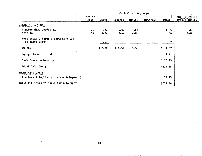|                                         | Cash Costs Per Acre |        |         |        |          |              |                                 |  |
|-----------------------------------------|---------------------|--------|---------|--------|----------|--------------|---------------------------------|--|
|                                         | Hours/<br>Acre      | Labor  | Tractor | Implt. | Material | <b>TOTAL</b> | Int. & Deprec.<br>Trac.& Implt. |  |
| COSTS TO DESTROY:                       |                     |        |         |        |          |              |                                 |  |
|                                         |                     |        |         |        |          |              |                                 |  |
| Stubble disc border 1X                  | .06                 | .32    | 1.01    | .56    |          | 1.89         | 1.55                            |  |
| P1ow <sub>1X</sub>                      | .40                 | 2.33   | 4.53    | 2.80   |          | 9.66         | 5.88                            |  |
| Move equip., setup & service @ 10%      |                     |        |         |        |          |              |                                 |  |
| of labor costs                          | $- -$               | .27    |         |        |          | .27          |                                 |  |
| TOTAL:                                  |                     | \$2.92 | \$5.54  | \$3.36 |          | \$11.82      |                                 |  |
| Equip. loan interest cost               |                     |        |         |        |          | 1.91         |                                 |  |
| Cash Costs to Destroy:                  |                     |        |         |        |          | \$13.73      |                                 |  |
| TOTAL CASH COSTS:                       |                     |        |         |        |          | \$216.55     |                                 |  |
| <b>INVESTMENT COSTS:</b>                |                     |        |         |        |          |              |                                 |  |
| Tractors & Implts. (Interest & Deprec.) |                     |        |         |        |          | 38.95        |                                 |  |
| TOTAL ALL COSTS TO ESTABLISH & DESTROY: |                     |        |         |        |          | \$255.50     |                                 |  |

 $\mathcal{L}^{\mathcal{L}}$ 

 $\sim$ 

 $\sim$ 

 $\sim$ 

 $\mathcal{L}$ 

 $\sim$   $\sim$ 

 $\mathcal{F}_{\mathcal{G}}$ 

 $\mathcal{L}$ 

 $\mathbf{r}$ 

 $\cdot$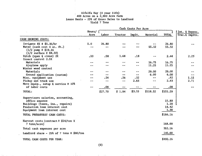# Alfalfa Hay (4 year life) 400 Acres on a 2,900 Acre Farm Lease Basis - 25% of Gross Sales to Landlord Yield 7 Tons

|                                                                                           | Cash Costs Per Acre |         |         |        |           |               |                                  |  |
|-------------------------------------------------------------------------------------------|---------------------|---------|---------|--------|-----------|---------------|----------------------------------|--|
|                                                                                           | Hours/ [<br>Acre    | Labor   | Tractor | Implt. | Material  | <b>TOTAL</b>  | Int. & Deprec.<br>Trac.& Implts. |  |
| CASH GROWING COSTS:                                                                       |                     |         |         |        |           |               |                                  |  |
| Irrigate 8X $@$ \$5.36/hr                                                                 | 5.0                 | 26.80   |         |        | --        | 26,80         |                                  |  |
| Water (cash cost 4 ac. ft.)<br>$(1/2$ pump @ \$19.16<br>$(1/2 \text{ surface } 0, $8.50)$ | $- -$               | $-$     |         |        | $55 - 32$ | 55.32         |                                  |  |
| Ditch (open & close) 2X                                                                   | .10                 | .58     | 1.68    | .18    |           | 2.44          | 2.23                             |  |
| Insect control 2.5X                                                                       |                     |         |         |        |           |               |                                  |  |
| Materials                                                                                 |                     |         |         |        | 16.75     | 16.75         |                                  |  |
| Airplane apply                                                                            | --                  |         |         | --     | 11.25     | 11.25         |                                  |  |
| Winter weed control                                                                       |                     |         |         |        |           |               |                                  |  |
| Materials                                                                                 |                     |         |         |        | 29.00     | 29.00         |                                  |  |
| Ground application (custom)                                                               |                     |         | --      | $- -$  | 6.00      | 6.00          |                                  |  |
| Misc. equipment use                                                                       |                     | .24     | 26ء     | .32    | --        | .82           | 1.15                             |  |
| Pickup and truck use                                                                      |                     | --      | --      | 2.83   | --        | 2.83          | 2.71                             |  |
| Move equip., setup & service @ 10%<br>of labor costs                                      | --                  | .08     | --      |        | --        | .08           |                                  |  |
|                                                                                           |                     |         |         |        |           |               |                                  |  |
| TOTAL:                                                                                    |                     | \$27.70 | \$1.94  | \$3.33 | \$118.32  | \$151.29      |                                  |  |
| Supervisors salaries, accounting,                                                         |                     |         |         |        |           |               |                                  |  |
| office expense                                                                            |                     |         |         |        |           | 15.89<br>1.18 |                                  |  |
| Buildings (taxes, ins., repairs)                                                          |                     |         |         |        |           | 14.42         |                                  |  |
| Production loan interest cost                                                             |                     |         |         |        |           | 1.38          |                                  |  |
| Equipment loan interest cost                                                              |                     |         |         |        |           |               |                                  |  |
| TOTAL PREHARVEST CASH COSTS:                                                              |                     |         |         |        |           | \$184.16      |                                  |  |
| Harvest costs (contract $@$ \$24/ton X                                                    |                     |         |         |        |           | 168.00        |                                  |  |
| 7 tons/acre)                                                                              |                     |         |         |        |           |               |                                  |  |
| Total cash expenses per acre                                                              |                     |         |         |        |           | 352.16        |                                  |  |
| Landlord share - 25% of 7 tons $@$ \$80/ton                                               |                     |         |         |        |           | 140.00        |                                  |  |
| TOTAL CASH COSTS PER YEAR:                                                                |                     |         |         |        |           | \$492.16      |                                  |  |

 $\epsilon$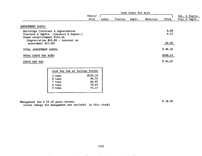| $\sim$ $\sim$                                                                                                 |                |       |         |        |          |                                           |                                 |
|---------------------------------------------------------------------------------------------------------------|----------------|-------|---------|--------|----------|-------------------------------------------|---------------------------------|
|                                                                                                               | Hours/<br>Acre | Labor | Tractor | Implt. | Material | <b>TOTAL</b>                              | Int. & Deprec.<br>Trac.& Implt. |
| INVESTMENT COSTS:                                                                                             |                |       |         |        |          |                                           |                                 |
| Buildings (interest & depreciation<br>Tractors & Implts. (interest & deprec.)<br>Stand establishment \$255.50 |                |       |         |        |          | 6.68<br>4.72<br>$\mathbf{r} = \mathbf{r}$ |                                 |
| (depreciation $$63.88 - interest$ on<br>investment $$21.08]$                                                  |                |       |         |        |          | 84.96                                     |                                 |
| TOTAL INVESTMENT COSTS:                                                                                       |                |       |         |        |          | \$96.36                                   |                                 |
| TOTAL COSTS PER ACRE:                                                                                         |                |       |         |        |          | \$588.52                                  |                                 |
| COSTS PER TON:                                                                                                |                |       |         |        |          | \$84.07                                   |                                 |

| Cost Per Ton at Various Yields |          |
|--------------------------------|----------|
| 5 tons                         | \$100.10 |
| 6 tons                         | 90.75    |
| 7 tons                         | 84.07    |
| 8 tons                         | 79.07    |
| 9 tons                         | 75.17    |
|                                |          |

Management fee @ 5% of gross income:

(usual charge for management not included in this study)

\$ 28.00

(10)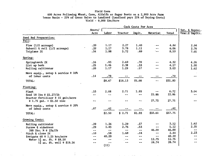# Field Corn

# 600 Acres Following Wheat, Corn, Alfalfa or Sugar Beets on a·2,900 Acre Farm Lease Basis - 25% of Gross Sales to Landlord (Landlord pays 25% of Drying Costs) Yield - 9,000 Lbs/Acre

|                                                                                                               |                          | Cash Costs Per Acre          |                                        |                                     |                         |                               |                                   |
|---------------------------------------------------------------------------------------------------------------|--------------------------|------------------------------|----------------------------------------|-------------------------------------|-------------------------|-------------------------------|-----------------------------------|
|                                                                                                               | Hours/<br>Acre           | Labor                        | Tractor                                | Implt.                              | Material                | <b>Total</b>                  | Int. & Deprec.<br>Trac. & Implts. |
| Seed Bed Preparation:<br>Fall:                                                                                |                          |                              |                                        |                                     |                         |                               |                                   |
| Plow $(1/2$ acreage)<br>Subsoil $\{$ roll $(1/2 \text{ acreage})$<br>Triplane 2X                              | .20<br>.20<br>.34        | 1.17<br>1.17<br>1.98         | 2.27<br>3.78<br>5.72                   | 1.40<br>1.11<br>.89                 | --                      | 4.84<br>6.06<br>8.59          | 2.94<br>2.76<br>7.01              |
| Spring:                                                                                                       |                          |                              |                                        |                                     |                         |                               |                                   |
| Springtooth 2X<br>List up beds<br>Rolling cultivator                                                          | .16<br>.25<br>.20        | .93<br>1.46<br>1.17          | 2.69<br>2.38<br>1.29                   | .70<br>.33<br>.57                   |                         | 4.32<br>4.17<br>3.03          | 4.26<br>1.90<br>1.62              |
| Move equip., setup & service @ 10%<br>of labor costs<br>TOTAL:                                                | .14                      | .79<br>\$8.67                | \$18.13                                | \$5.00                              | $ -$                    | .79<br>\$31.80                |                                   |
| Planting:                                                                                                     |                          |                              |                                        |                                     |                         |                               |                                   |
| Plant<br>Seed 18 lbs @ \$1.27/1b<br>Starter fertilizer @ 15 gals/acre<br>0 1.75 gal. $\div$ \$1.50 zinc       | .33<br>--<br>--          | 2.08                         | 2.71                                   | 1.93<br>--<br>--                    | مہ س<br>22.86<br>27.75  | 6.72<br>22.86<br>27.75        | 3.04                              |
| Move equip., setup & service @ 20%<br>of labor costs                                                          | .07                      | .42                          |                                        |                                     |                         | .42                           |                                   |
| TOTAL:                                                                                                        |                          | \$2.50                       | \$2.71                                 | \$1.93                              | \$50.61                 | \$57.75                       |                                   |
| Growing Costs:                                                                                                |                          |                              |                                        |                                     |                         |                               |                                   |
| Rolling cultivator<br>Furrow & sidedress<br>200 lbs. N $\frac{23 \div 1}{1}$<br>Ditch & close 2X              | .20<br>.29<br>$-$<br>.10 | 1.26<br>1.83<br>$- -$<br>.58 | 1.29<br>2.76<br>$\cdots$<br>1.68       | .57<br>.53<br>$\overline{a}$<br>.18 | $- -$<br>46.00<br>$- -$ | 3.12<br>5.12<br>46.00<br>2.44 | 1.62<br>2.35<br>$- -$<br>2.23     |
| Irrigate 6X @ 1.25 hrs/acre<br>Water $1\frac{1}{2}$ ac. ft. @ \$8.50<br>$1\frac{1}{2}$ ac. ft. well @ \$19.16 | --<br>--<br>--           | 40.20<br>--<br>$- -$<br>(11) | $\ddot{ }$<br>$\overline{\phantom{m}}$ | $- -$<br>--<br>--                   | $- -$<br>12.75<br>28.74 | 40.20<br>12.75<br>28.74       |                                   |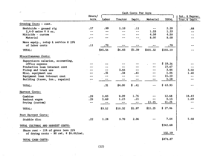| $\mathcal{C}^{\mathbf{m} \times \mathbf{r}}$<br>$\sim$ $\sim$ $\sim$ | Cash Costs Per Acre      |         |                          |        |            |              |                          |
|----------------------------------------------------------------------|--------------------------|---------|--------------------------|--------|------------|--------------|--------------------------|
|                                                                      | Hours/                   |         |                          |        |            |              | Int. & Deprec.           |
|                                                                      | Acre                     | Labor   | Tractor                  | Implt. | Material   | <b>TOTAL</b> | Trac.& Implt.            |
| Growing Costs - cont.                                                |                          |         |                          |        |            |              |                          |
| Herbicide - ground rig                                               | .17                      | .99     | 1.10                     | .11    | --         | 2.20         | .88                      |
| $2,4-D$ amine $@8$ oz.                                               | $- -$                    | --      | $\overline{a}$           | $- -$  | 1.33       | 1.33         | $- -$                    |
| Miticide - custom                                                    | ---                      |         | --                       | $-1$   | 4.50       | 4.50         | --                       |
| Material                                                             | $\overline{\phantom{a}}$ |         |                          | --     | 8.00       | 8.00         | $-$                      |
| Move equip., setup & service @ 15%                                   |                          |         |                          |        |            |              |                          |
| of labor costs                                                       | .11                      | .70     | $\ddotsc$                | --     | --         | .70          | ---                      |
| TOTAL:                                                               |                          | \$45.56 | \$6.83                   | \$1.39 | \$101.32   | \$155.10     |                          |
| Miscellaneous Costs:                                                 |                          |         |                          |        |            |              |                          |
| Supervisors salaries, accounting,                                    |                          |         |                          |        |            |              |                          |
| office expense                                                       |                          |         |                          |        |            | \$19.26      | --                       |
| Production loan interest cost                                        |                          | --      | --                       |        | --         | 23.67        | ---                      |
| Pickup and truck use                                                 |                          | $+ -$   | 3.66                     | --     |            | 3.66         | 3.50                     |
| Misc. equipment use                                                  |                          | .31     | .34                      | .41    | --         | 1.06         | 1.40                     |
| Equipment loan interest cost                                         | $- -$                    | $- -$   | $-1$                     | --     |            | 15.10        | $\overline{\phantom{m}}$ |
| Building (taxes, ins., repairs)                                      | ÷-                       |         | --                       |        |            | 1.18         | --                       |
| TOTAL:                                                               |                          | .31     | \$4.00                   | \$.41  | $\sim$ $-$ | \$63.93      | $\overline{\phantom{m}}$ |
| Harvest Costs:                                                       |                          |         |                          |        |            |              |                          |
| Combine                                                              | .29                      | 1.83    | 9.09                     | 1.76   |            | 12.68        | 18.43                    |
| Bankout wagon                                                        | .29                      | 1.69    | 1.23                     | .21    |            | 3.13         | 1.69                     |
| Drying (custom)                                                      | $- -$                    | $- -$   | $\overline{\phantom{m}}$ | ∸–     | 11.25      | 11.25        | $\overline{\phantom{m}}$ |
| TOTAL:                                                               |                          | \$3.52  | \$10.32                  | \$1.97 | \$11.25    | \$27.06      | --                       |
| Post Harvest Costs:                                                  |                          |         |                          |        |            |              |                          |
| Stubble disc                                                         | .22                      | 1.28    | 3.70                     | 2.06   |            | 7.04         | 5.68                     |
| TOTAL CULTURAL AND HARVEST COSTS:                                    |                          |         |                          |        |            | \$342.68     |                          |
| Share rent $-25\%$ of gross less 25%                                 |                          |         |                          |        |            |              |                          |
| of drying costs - 90 cwt. $@$ \$6.00/cwt.                            |                          |         |                          |        |            | 132.19       |                          |
| TOTAL CASH COSTS:                                                    |                          |         |                          |        |            | \$474.87     |                          |

35

(12)

 $\mathbb{R}$ 

 $\sim$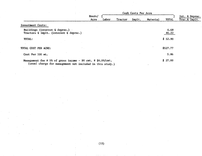|                                                                                                                          |                |       | Cash Costs Per Acre |        |          |               |                                  |  |
|--------------------------------------------------------------------------------------------------------------------------|----------------|-------|---------------------|--------|----------|---------------|----------------------------------|--|
|                                                                                                                          | Hours/<br>Acre | Labor | Tractor             | Implt. | Material | <b>TOTAL</b>  | Int. & Deprec.<br>Trac. & Implt. |  |
| Investment Costs:                                                                                                        |                |       |                     |        |          |               |                                  |  |
| Buildings (interest & deprec.)<br>Tractors & Implt. (interest & deprec.)                                                 |                |       |                     |        |          | 6.68<br>46.22 |                                  |  |
| TOTAL:                                                                                                                   |                |       |                     |        |          | \$52.90       |                                  |  |
| TOTAL COST PER ACRE:                                                                                                     |                |       |                     |        |          | \$527.77      |                                  |  |
| Cost Per 100 wt.                                                                                                         |                |       |                     |        |          | 5.86          |                                  |  |
| Management fee @ 5% of gross income - 90 cwt. @ \$6.00/cwt.<br>(usual charge for management not included in this study.) |                |       |                     |        |          | \$27.00       |                                  |  |

(13)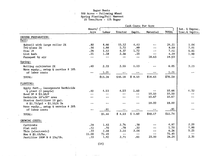# Sugar Beets 300 Acres - Following Wheat Spring Planting/Fall Harvest 25 Tons/Acre - 15% Sugar

|                                                   | Cash Costs Per Acre         |               |         |        |          |         |                                   |  |  |  |
|---------------------------------------------------|-----------------------------|---------------|---------|--------|----------|---------|-----------------------------------|--|--|--|
|                                                   | Hours/ $\int$<br>Acre       | Labor         | Tractor | Implt. | Material | TOTAL   | Int. & Deprec.<br>Trac. & Implts. |  |  |  |
|                                                   |                             |               |         |        |          |         |                                   |  |  |  |
| GROUND PREPARATION:                               |                             |               |         |        |          |         |                                   |  |  |  |
| Fall:                                             |                             |               |         |        |          |         |                                   |  |  |  |
| Subsoil with large roller 2X                      | .80                         | 4.66          | 15.12   | 4.43   |          | 24.21   | 1.04                              |  |  |  |
| Tri-plane 2X                                      | .34                         | 1.98          | 5.72    | .89    |          | 8.59    | 7.01                              |  |  |  |
| Disc 2X                                           | .26                         | 1.52          | 4.37    | 1.72   |          | 7.61    | 5.85                              |  |  |  |
| List beds                                         | .25                         | 1.58          | 2.38    | .33    |          | 4.29    | 1.90                              |  |  |  |
| Paraquat by air                                   | $\rightarrow$ $\rightarrow$ | $\sim$ $\sim$ | $ -$    | $- -$  | 18.63    | 18.63   | $- -$                             |  |  |  |
| Spring:                                           |                             |               |         |        |          |         |                                   |  |  |  |
| Rolling cultivator 2X                             | .40                         | 2.33          | 2.59    | 1.13   |          | 6.05    | 3.23                              |  |  |  |
| Move equip., setup $\delta$ service $\theta$ 10%  |                             |               |         |        |          |         |                                   |  |  |  |
| of labor costs                                    |                             | 1.21          |         |        |          | 1.21    |                                   |  |  |  |
| TOTAL:                                            |                             | \$13.28       | \$30.18 | \$8.50 | \$18.63  | \$70.59 |                                   |  |  |  |
| PLANTING:                                         |                             |               |         |        |          |         |                                   |  |  |  |
|                                                   |                             |               |         |        |          |         |                                   |  |  |  |
| Apply fert., incorporate herbicide                | .40                         | 4.53          | 4.53    | 1.60   |          | 10.66   | 6.33                              |  |  |  |
| & plant (2 people)                                | $- -$                       |               |         |        | 10.50    | 10.50   |                                   |  |  |  |
| Seed $3#$ @ \$3.50/#                              |                             |               |         |        | 10.67    | 10.67   |                                   |  |  |  |
| Herbicide 10"x30" area                            |                             |               |         |        |          |         |                                   |  |  |  |
| Starter fertilizer 10 gal.                        | $\sim$                      |               |         |        | 19.00    | 19.00   |                                   |  |  |  |
| @ \$1.75/gal + \$1.50/A Zn                        |                             |               |         |        |          |         |                                   |  |  |  |
| Nove equip., setup $\xi$ service $\theta$ 20%     |                             | .91           |         |        |          | .91     |                                   |  |  |  |
| of labor costs                                    |                             |               |         |        |          |         |                                   |  |  |  |
| TOTAL:                                            |                             | \$5.44        | \$4.53  | \$1.60 | \$40.17  | \$51.74 |                                   |  |  |  |
| GROWING COSTS:                                    |                             |               |         |        |          |         |                                   |  |  |  |
| Cultivate                                         | .29                         | 1.83          | 2,76    | .38    |          | 4.97    | 2.20                              |  |  |  |
| Flat roll                                         | .12                         | .70           | .78     | .22    |          | 1.70    | 1.80                              |  |  |  |
| Thin (electronic)                                 | .33                         | 2.08          | 2.14    | 2.04   |          | 6.26    | 5.25                              |  |  |  |
| Hoe $@$ \$5.03/hr.                                | 15.00                       | 75.45         | $- -$   | $- -$  | --       | 75.45   | $- -$                             |  |  |  |
| Fertilize $100#$ N $\theta$ 23 $\frac{1}{4}$ /1b. | .33                         | 1.92          | 2.71    | .61    | 23.00    | 28.24   | 2.35                              |  |  |  |
|                                                   |                             |               |         |        |          |         |                                   |  |  |  |

 $(14)$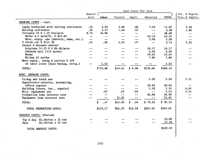|                                           | Cash Costs Per Acre      |                             |         |                          |               |              |                 |  |  |
|-------------------------------------------|--------------------------|-----------------------------|---------|--------------------------|---------------|--------------|-----------------|--|--|
|                                           | Hours/ [                 |                             |         |                          |               |              | Int. & Deprec.  |  |  |
|                                           | Acre                     | Labor                       | Tractor | Implt.                   | Material      | <b>TOTAL</b> | Trac. & Implts. |  |  |
| GROWING COSTS - cont.                     |                          |                             |         |                          |               |              |                 |  |  |
| Layby herbicide with rolling cultivator   | .25                      | 1.46                        | 2.06    | .85                      | 7.50          | 11.87        | 2.39            |  |  |
| Rolling cultivator                        | .20                      | 1.17                        | 1.64    | .57                      | m av          | 3.38         | 1.80            |  |  |
| Irrigate 7X @ 1.25 hrs/acre               | 8.75                     | 46.90                       | --      | $\sim$ $\sim$            | $-\,-$        | 46.90        | $- -$           |  |  |
| Water 4.5 acre/ft. @ \$13.83              | $-1$                     | $\rightarrow$ $\rightarrow$ | $- -$   | $\overline{\phantom{m}}$ | 62.24         | 62.24        |                 |  |  |
| Misc. equip. use (shovels, dams, etc.)    | سيب                      | $- -$                       | --      | $\sim$ $\sim$            | 2.00          | 2.00         | $- -$           |  |  |
| V ditch cut & fill 3X                     | .15                      | .95                         | 2.52    | .27                      | --            | 3.74         | 3.34            |  |  |
| Insect & disease control                  |                          |                             |         |                          |               |              |                 |  |  |
| Airplane $3-1/3$ X @ \$4.85/acre          | --                       |                             | --      | $\sim$ $\sim$            | 16.17         | 16.17        |                 |  |  |
| Cutworm bait $(1/3$ acres)                | مد مید                   |                             |         | $- -$                    | 6.40          | 6.40         |                 |  |  |
| Worms                                     |                          |                             |         | --                       | 10.55         | 10.55        |                 |  |  |
| Mildew 2X sulfur                          | --                       |                             | --      | $\blacksquare$           | 7.80          | 7.80         |                 |  |  |
| Move equip., setup & service @ 15%        |                          |                             |         |                          |               |              |                 |  |  |
| of labor costs (less hoeing, irrig.)      | $\overline{\phantom{a}}$ | 1.52                        | ---     |                          |               | 1.52         |                 |  |  |
| TOTAL:                                    |                          | \$133.98                    | \$14.61 | \$4.94                   | \$135.66      | \$289.19     |                 |  |  |
| MISC. GROWING COSTS:                      |                          |                             |         |                          |               |              |                 |  |  |
| Pickup and truck use                      |                          |                             |         |                          | 5.59          | 5.59         | 5.35            |  |  |
| Supervisors salaries, accounting,         |                          |                             |         |                          |               |              |                 |  |  |
| office expense                            |                          |                             | --      |                          | 29.44         | 29.44        | $- -$           |  |  |
| Building (taxes, ins., repairs)           |                          |                             | - -     | --                       | 1.18          | 1.18         | 6.68            |  |  |
| Misc. equipment use                       | --                       | .47                         | .52     | .54                      | $\sim$        | 1.53         | 2.14            |  |  |
| Production loan interest cost             | --                       | $- -$                       | --      | --                       | 36.98         | 36.98        | --              |  |  |
| Equipment loan interest cost              | $\rightarrow$            | $\sim$ $-$                  | 15.41   | $- -$                    | $\sim$ $\sim$ | 15.41        |                 |  |  |
|                                           |                          |                             |         |                          |               |              |                 |  |  |
| TOTAL:                                    |                          | .47<br>S.                   | \$15.93 | .54<br>\$                | \$73.19       | \$90.13      |                 |  |  |
| TOTAL PRODUCTION COSTS:                   |                          | \$153.17                    | \$65.25 | \$15.58                  | \$267.65      | \$501.65     |                 |  |  |
| HARVEST COSTS: (Custom)                   |                          |                             |         |                          |               |              |                 |  |  |
| Top $\xi$ dig $$2.00/t$ on x 25 ton       |                          |                             |         |                          |               | 50,00        |                 |  |  |
| $$2.10/ton \times 25 \text{ ton}$<br>Hau1 | an an                    |                             |         |                          | --            | 52.50        |                 |  |  |
| TOTAL HARVEST COSTS:                      |                          |                             |         |                          |               | \$102.50     |                 |  |  |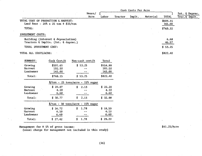|                                     |                                                                           |                                                                    |                              |         | Cash Costs Per Acre |          |                    |                                  |
|-------------------------------------|---------------------------------------------------------------------------|--------------------------------------------------------------------|------------------------------|---------|---------------------|----------|--------------------|----------------------------------|
|                                     |                                                                           | Hours/<br>Acre                                                     | Labor                        | Tractor | Implt.              | Material | <b>TOTAL</b>       | Int. & Deprec.<br>Trac. & Implt. |
| TOTAL COST OF PRODUCTION & HARVEST: | Land Rent - $20\frac{3}{5}$ x 25 ton @ \$33/ton                           |                                                                    |                              |         |                     |          | \$604.15<br>165.00 |                                  |
| TOTAL:                              |                                                                           |                                                                    |                              |         |                     |          | \$769.15           |                                  |
| INVESTMENT COSTS:                   |                                                                           |                                                                    |                              |         |                     |          |                    |                                  |
|                                     | Building (interest & depreciation)<br>Tractors & Implts. (Int. & deprec.) |                                                                    |                              |         |                     |          | 6.68<br>46.57      |                                  |
| TOTAL INVESTMENT COST:              |                                                                           |                                                                    |                              |         |                     |          | \$53.25            |                                  |
| TOTAL ALL COSTS/ACRE:               |                                                                           |                                                                    |                              |         |                     |          | \$822.40           |                                  |
| SUMMARY:                            | Cash Cost/A                                                               | Non-cash cost/A                                                    | <b>Total</b>                 |         |                     |          |                    |                                  |
| Growing<br>Harvest<br>Landowner     | \$501.65<br>102.50<br>165.00                                              | \$53.25                                                            | \$554.90<br>102.50<br>165.00 |         |                     |          |                    |                                  |
| Total:                              | \$769.15                                                                  | \$53.25                                                            | \$822,40                     |         |                     |          |                    |                                  |
|                                     |                                                                           | $\sqrt[6]{\text{ton} - 25 \text{ tons/acre} - 15\% \text{ sugar}}$ |                              |         |                     |          |                    |                                  |
| Growing<br>Harvest<br>Landowner     | \$20.07<br>4.10<br>6.60                                                   | 2.13<br>\$                                                         | \$22.20<br>4.10<br>6.60      |         |                     |          |                    |                                  |
| Total:                              | \$30.77                                                                   | 2.13<br>\$                                                         | \$32.90                      |         |                     |          |                    |                                  |
|                                     |                                                                           | $\frac{\sqrt{2}}{2}$ /ton - 30 tons/acre - 15% sugar               |                              |         |                     |          |                    |                                  |
| Growing<br>Harvest                  | \$16.72<br>4.10                                                           | \$1.78<br>$-$                                                      | \$18.50<br>4.10              |         |                     |          |                    |                                  |

Management fee @ 5% of gross income:

 $L$ andowner 6.60  $-$ Total:  $$27.42$   $$1.78$ 

(usual charge for management not included in this study)

 $\mathcal{L}_{\mathcal{A}}$ 

\$41.25/Acre

6.60 \$ 29.20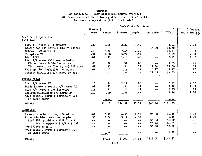# Tomatoes 24 tons/acre (5 year historical county average) 700 acres in rotation following wheat or corn (1/2 each) Two machine operation (both electronic)

|                                          | Cash Costs Per Acre      |         |                          |                             |                             |              |                                   |  |  |
|------------------------------------------|--------------------------|---------|--------------------------|-----------------------------|-----------------------------|--------------|-----------------------------------|--|--|
|                                          | Hours/ $\int$<br>Acre    | Labor   | Tractor                  | Implt.                      | Material                    | <b>TOTAL</b> | Int. & Deprec.<br>Trac. & Implts. |  |  |
| Seed Bed Preparation:                    |                          |         |                          |                             |                             |              |                                   |  |  |
| Fall Work:                               |                          |         |                          |                             |                             |              |                                   |  |  |
| Plow $1/2$ acres $\theta$ .4 hr/acre     | .20                      | 1.26    | 2.27                     | 1.40                        | --                          | 4.93         | 2.94                              |  |  |
| Laserplane 10% acres @ \$143/A custom    | $-$                      | $- -$   | $\overline{\phantom{a}}$ | $- -$                       | 14.30                       | 14.30        | $\overline{\phantom{a}}$          |  |  |
| Subsoil $1/2$ acres $2X$                 | .40                      | 2.33    | 7.56                     | 2.22                        | $\rightarrow$ $\rightarrow$ | 12.11        | 5.52                              |  |  |
| Tri-plane 2X                             | .34                      | 1.98    | 5.72                     | .89                         | $\rightarrow$               | 8.59         | 7.00                              |  |  |
| Disc $1/2X$                              | .07                      | .41     | 1.18                     | .46                         | $- -$                       | 2.05         | 1.57                              |  |  |
| List 1/2 acres fall season bedded        |                          |         |                          |                             |                             |              |                                   |  |  |
| Without nematicide 1/4 acres             | .06                      | .38     | .57                      | .08                         | $\overline{\phantom{m}}$    | 1.03         | .46                               |  |  |
| With nematicide $(1/4$ acres) $3/5$ area | .09                      | .57     | .86                      | .12                         | 12.84                       | 14.39        | .68                               |  |  |
| Fall applied herbicide 1/4 acres         | .03                      | .17     | .19                      | .04                         | 3.17                        | 3.57         | .17                               |  |  |
| Contact herbicide 3/4 acres by air       | --                       | $- -$   | --                       | --                          | 18.63                       | 18.63        | --                                |  |  |
| Spring Work:                             |                          |         |                          |                             |                             |              |                                   |  |  |
| Disc $1/2$ acres $2X$                    | .13                      | .76     | 2.19                     | .86                         | $- -$                       | 3.81         | 2,92                              |  |  |
| Swede harrow & roller 1/2 acres 2X       | .08                      | .47     | 1.34                     | .47                         | $\overline{a}$              | 2.28         | 2.45                              |  |  |
| List $1/2$ acres $\theta$ .26 hrs/acre   | .13                      | .82     | 1.24                     | .17                         | --                          | 2.23         | .99                               |  |  |
|                                          | .17                      | .99     | 1.39                     | .48                         | $- -$                       | 2.86         | 1.54                              |  |  |
| Rolling cultivator 1/2 acres 2X          |                          |         |                          |                             |                             |              |                                   |  |  |
| Move equip., setup & service @ 10%       |                          |         |                          |                             |                             | 1.01         |                                   |  |  |
| of labor costs                           | en an                    | 1.01    |                          |                             |                             |              |                                   |  |  |
| TOTAL:                                   |                          | \$11.15 | \$24.51                  | \$7.19                      | \$48.94                     | \$91.79      |                                   |  |  |
| Planting:                                |                          |         |                          |                             |                             |              |                                   |  |  |
| Incorporate herbicide, 40% of bed        | .04                      | 2.52    | 4.53                     | 1.60                        | 26.80                       | 35.45        | 6.33                              |  |  |
| Plant (double rows) two people           | .33                      | 3.74    | 3.14                     | 2.58                        | $\sim$ $\sim$               | $9 - 46$     | 4.20                              |  |  |
| Seed 40% hybrid @ \$180/# X 1/2#         | --                       | --      | $- -$                    | $\overline{\phantom{m}}$    | 36.00                       | 36.00        | --                                |  |  |
| 60% standard @ \$25/# X 1.75#            | $\overline{\phantom{a}}$ |         | $- -$                    | $\rightarrow$ $\rightarrow$ | 26.24                       | 26.25        | --                                |  |  |
| Fertilizer 18 gal.                       | $-1$                     | --      | --                       | $\overline{\phantom{m}}$    | 33.00                       | 33.00        | --                                |  |  |
| Move equip., setup & service @ 20%       |                          |         |                          |                             |                             |              |                                   |  |  |
| of labor costs                           | $- -$                    | 1.25    |                          |                             |                             | 1.25         |                                   |  |  |
| TOTAL:                                   |                          | \$7.51  | \$7.67                   | \$4.18                      | \$122.05                    | \$141.41     |                                   |  |  |
|                                          |                          |         | (17)                     |                             |                             |              |                                   |  |  |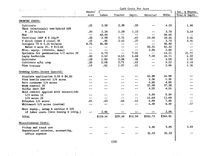| فتابهم والمراج<br>$\mathcal{T}_{\text{total}}$ |                            | Cash Costs Per Acre |                          |                                                   |                          |          |                |  |  |
|------------------------------------------------|----------------------------|---------------------|--------------------------|---------------------------------------------------|--------------------------|----------|----------------|--|--|
|                                                | Hours/                     |                     |                          |                                                   |                          |          | Int. & Deprec. |  |  |
|                                                | Acre                       | Labor               | Tractor                  | Implt.                                            | Material                 | TOTAL    | Trac. & Implt. |  |  |
| GROWING COSTS:                                 |                            |                     |                          |                                                   |                          |          |                |  |  |
|                                                |                            |                     |                          |                                                   |                          |          |                |  |  |
| Cultivate                                      | .25                        | 1.58                | 2.38                     | .33                                               |                          | 4.29     | 1.90           |  |  |
| Thin (electronic) non-hybrid 60%               |                            |                     |                          |                                                   |                          |          |                |  |  |
| @.33 hr/acre                                   | .20                        | 1.26                | 1.29                     | 1.23                                              |                          | 3.78     | 3.19           |  |  |
| Hoe                                            | $\overline{\phantom{a}}$ . | 60.00               | $\overline{\phantom{m}}$ | $\overline{\phantom{m}}$                          | --                       | 60.00    | $\sim$         |  |  |
| Fertilize $100#$ N @ 23¢/#                     | .33                        | 2.08                | 2.71                     | .61                                               | 23,00                    | 28.40    | 2,35           |  |  |
| V ditch (open & close) 3X                      | .15                        | .95                 | 2.52                     | .27                                               | $\sim$ $\sim$            | 3.74     | 3.35           |  |  |
| Irrigate 7X @ 1.25 hr/acre                     | 8.75                       | 46.90               | --                       | $- -$                                             | $-$                      | 46.90    | $\sim$ $\sim$  |  |  |
| Water 4 acre ft. @ \$13.83                     | $- -$                      | $\sim$ $\sim$       | --                       | $\ddotsc$                                         | 55.32                    | 55.32    |                |  |  |
| Misc. equip. (shovels, dams)                   | $\sim$ $\sim$              | $-1$                | $- -$                    | $\overline{\phantom{m}}$ $\overline{\phantom{m}}$ | 2.00                     | 2.00     | $- -$          |  |  |
| Sprinkle for germination 1/2 acres 2X          | $\overline{\phantom{m}}$   | 6.73                | $- +$                    | 7.42                                              | $\ldots$ $\ldots$        | 14.15    | 21.77          |  |  |
| Layby herbicide                                | .40                        | 2.52                | 4.53                     | 1.60                                              | 7.50                     | 16.15    | 6.33           |  |  |
| Cultivate                                      | .29                        | 1.83                | 2.38                     | .38                                               | $ -$                     | 4.59     | 1.92           |  |  |
| Cultivate w/hi crop                            | .33                        | 2.08                | 2.71                     | .43                                               | $- -$                    | 5.22     | 2.18           |  |  |
| Vine trainer                                   | .13                        | .82                 | 1.07                     | .11                                               | $\overline{\phantom{a}}$ | 2.00     | 1.26           |  |  |
|                                                |                            |                     |                          |                                                   |                          |          |                |  |  |
| Growing Costs-Insect Control:                  |                            |                     |                          |                                                   |                          |          |                |  |  |
| Airplane application 3.5X @ \$4.85             |                            |                     | $- -$                    | $\sim$ $-$                                        | 16.98                    | 16,98    |                |  |  |
| Flea beetle control 1/4 acres                  |                            |                     |                          | $- -$                                             | 1.36                     | 1.36     |                |  |  |
| Bait cutworms 1/4 acres                        |                            | --                  | --                       | $- -$                                             | 4.80                     | 4.80     |                |  |  |
| Worm control 2X                                |                            | --                  | --                       | --                                                | 37.39                    | 37.39    |                |  |  |
| Sulfur dust 35#                                |                            |                     | --                       | $-$                                               | 4.55                     | 4.55     |                |  |  |
| Mold control applied with insecticide          |                            |                     | $\sim$                   |                                                   |                          |          |                |  |  |
| $1/3$ acres 1X                                 | --                         | --                  | --                       | $- -$                                             | 5.84                     | 5.84     | --             |  |  |
| $1/3$ acres $2X$                               | $- -$                      | $- -$               | $- -$                    | $- -$                                             | 11.69                    | 11.69    |                |  |  |
| Ethephon 1/5 acres                             | .01                        | .63                 | .65                      | .12                                               | 6,00                     | 7.40     | $- -$          |  |  |
| Whitewash 1/5 acres (custom)                   | --                         | --                  | --                       | $- -$                                             | 6,30                     | 6.30     | .57            |  |  |
| Move equip., setup & service @ 15%             |                            |                     |                          |                                                   |                          |          |                |  |  |
| of labor costs (less hoeing & irrig.)          |                            | 2.06                |                          |                                                   |                          | 2.06     |                |  |  |
|                                                |                            |                     |                          |                                                   | \$182.73                 | \$344.91 |                |  |  |
| <b>TOTAL</b>                                   |                            | \$129.44            | \$20.24                  | \$12.50                                           |                          |          |                |  |  |
| Miscellaneous Costs:                           |                            |                     |                          |                                                   |                          |          |                |  |  |
|                                                |                            |                     |                          |                                                   | 5.95                     | 5.95     | 5.69           |  |  |
| Pickup and truck use                           |                            |                     |                          |                                                   |                          |          |                |  |  |
| Supervisors' salaries, accounting,             |                            |                     |                          |                                                   | 31.33                    | 31.33    |                |  |  |
| office expense                                 |                            |                     |                          |                                                   |                          |          |                |  |  |

 $\overline{\phantom{a}}$ 

(18)

 $\sim 10^6$ 

ł

 $\mathcal{L}^{\text{max}}(\mathcal{L}^{\text{max}},\mathcal{L}^{\text{max}})$ 

 $\sim$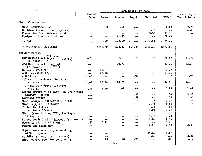| Hours/<br>Acre<br>--<br>--<br>m m | Labor<br>.50<br>$- -$                                                           | Tractor<br>.55                | Implt.<br>.57            | Material                 | <b>TOTAL</b>                                                        | Int. & Deprec.<br>Trac.& Implt.                                                                                                   |
|-----------------------------------|---------------------------------------------------------------------------------|-------------------------------|--------------------------|--------------------------|---------------------------------------------------------------------|-----------------------------------------------------------------------------------------------------------------------------------|
|                                   |                                                                                 |                               |                          |                          |                                                                     |                                                                                                                                   |
|                                   |                                                                                 |                               |                          |                          |                                                                     |                                                                                                                                   |
|                                   |                                                                                 |                               |                          | --                       | 1.62                                                                | 2.29                                                                                                                              |
|                                   |                                                                                 | $- -$                         | $-$                      | .79                      | .79                                                                 | 4.45                                                                                                                              |
|                                   | --                                                                              | $\overline{a}$                | --                       | 33.56                    | 33.56                                                               | $- +$                                                                                                                             |
|                                   | $\overline{\phantom{m}}$                                                        | 21.45                         | $\tilde{\phantom{a}}$    | $-1$                     | 21.45                                                               |                                                                                                                                   |
|                                   | .50                                                                             | \$22.00                       | \$.57                    | \$71.63                  | \$94.70                                                             |                                                                                                                                   |
|                                   | \$148.60                                                                        | \$74.42                       | \$24.44                  | \$425.35                 | \$672.81                                                            |                                                                                                                                   |
|                                   |                                                                                 |                               |                          |                          |                                                                     |                                                                                                                                   |
| 1.07                              | $\mathbf{m}$                                                                    | 25.97                         |                          | --                       | 25.97                                                               | 64.40                                                                                                                             |
| .36                               | $- -$                                                                           | 20.73                         | $\overline{\phantom{a}}$ | --                       | 20.73                                                               | 32.54                                                                                                                             |
|                                   |                                                                                 |                               |                          |                          |                                                                     | $- -$                                                                                                                             |
|                                   |                                                                                 | $\sim$ $\sim$                 |                          |                          |                                                                     | --                                                                                                                                |
|                                   | $\overline{\phantom{a}}$                                                        | $\sim$                        |                          | --                       |                                                                     | .73                                                                                                                               |
|                                   |                                                                                 |                               |                          |                          |                                                                     |                                                                                                                                   |
| 1.07                              | 12.48                                                                           | 20.33                         |                          | --                       | 32.81                                                               | 14.10                                                                                                                             |
|                                   |                                                                                 |                               |                          |                          |                                                                     |                                                                                                                                   |
| .36                               |                                                                                 |                               | --                       | ---                      |                                                                     | 2.61                                                                                                                              |
|                                   |                                                                                 |                               |                          |                          |                                                                     |                                                                                                                                   |
|                                   | $- -$                                                                           | --                            |                          |                          |                                                                     | 3.53                                                                                                                              |
|                                   | $- -$                                                                           | $\cdots$                      |                          | $-$                      |                                                                     | .96                                                                                                                               |
| --                                | --                                                                              | ÷-                            | $\sim$ $\sim$            |                          |                                                                     | $-1$                                                                                                                              |
| ---                               | $-$                                                                             |                               | $-1$                     |                          |                                                                     | --                                                                                                                                |
| $ -$                              | $-1$                                                                            | --                            | --                       |                          |                                                                     |                                                                                                                                   |
| --                                | --                                                                              | $-$                           | --                       |                          |                                                                     | $-$                                                                                                                               |
|                                   |                                                                                 |                               |                          |                          |                                                                     |                                                                                                                                   |
| --                                | $\blacksquare$<br><br>An                                                        |                               |                          |                          |                                                                     |                                                                                                                                   |
| --                                | $-\cdot$                                                                        | -- --                         |                          |                          |                                                                     |                                                                                                                                   |
| 1.43                              | 6.71                                                                            | --                            | --                       | $- -$                    |                                                                     |                                                                                                                                   |
|                                   |                                                                                 |                               |                          |                          |                                                                     | 2.85                                                                                                                              |
|                                   |                                                                                 |                               |                          |                          |                                                                     |                                                                                                                                   |
|                                   |                                                                                 |                               |                          |                          |                                                                     | $- -$                                                                                                                             |
| $\overline{\phantom{a}}$          |                                                                                 |                               | $- -$                    |                          |                                                                     | 2.23                                                                                                                              |
| $\cdots$                          |                                                                                 |                               |                          | $- +$                    |                                                                     | 1.13                                                                                                                              |
|                                   | 1.43<br>1.43<br>1.43<br>.10<br>.52<br>Reject loads 1.0% of harvest (no re-sort) | 10.07<br>43.16<br>2.10<br>.25 | 4.08<br>.28<br>(19)      | .92<br>.39<br>.35<br>.29 | 2.22<br>1.38<br>.34<br>4.08<br>5.78<br>1.85<br>2.98<br>15.67<br>.39 | 10.07<br>43.16<br>.92<br>6.18<br>.39<br>.35<br>2.22<br>1.38<br>.34<br>4.08<br>5.78<br>1.85<br>6.71<br>2,98<br>15.67<br>.39<br>.82 |

 $\label{eq:2} \begin{aligned} \mathcal{L}_{\text{max}}(\mathbf{r}) = \mathcal{L}_{\text{max}}(\mathbf{r}) \end{aligned}$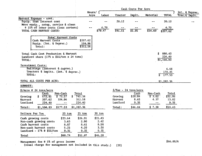|                                                                                                                          |                                |                 |                    | Cash Costs Per Acre                    |                            |                                  |                                  |
|--------------------------------------------------------------------------------------------------------------------------|--------------------------------|-----------------|--------------------|----------------------------------------|----------------------------|----------------------------------|----------------------------------|
|                                                                                                                          | Hours/<br>Acre                 | Labor           | Tractor            | Implt.                                 | Material                   | TOTAL                            | Int. & Deprec.<br>Trac. & Implt. |
| Harvest Expense - cont.<br>Equip. loan interest cost<br>Move equip., setup, service & clean                              |                                |                 | 20.12              |                                        |                            | 20.12                            |                                  |
| @ 15% of labor costs (less sorters)<br>TOTAL CASH HARVEST COSTS:                                                         |                                | 4.70<br>\$79.47 | \$91.51            | \$1.95                                 | \$34.69                    | 4,70<br>\$207.62                 |                                  |
| <b>Total Harvest Costs</b><br>Cash Harvest Costs<br>Equip. (Int. & Deprec.)<br>Total:                                    | \$207.62<br>104.96<br>\$312.58 |                 |                    |                                        |                            |                                  |                                  |
| Total Cash Cost Production & Harvest<br>Landlord share $(17\frac{2}{3} \times $55/ton \times 24 \text{ tons})$<br>TOTAL: |                                |                 |                    |                                        |                            | \$880.43<br>224.40<br>\$1,104.83 |                                  |
| Investment Costs:<br>Buildings (interest & deprec.)<br>Tractors & implts. (int. & deprec.)<br>TOTAL:                     |                                |                 |                    |                                        |                            | 6.68<br>170.85<br>177.53         |                                  |
| TOTAL ALL COSTS PER ACRE:                                                                                                |                                |                 |                    |                                        |                            | \$1,282.36                       |                                  |
| SUMMARY:                                                                                                                 |                                |                 |                    |                                        |                            |                                  |                                  |
| \$/Acre @ 24 tons/acre                                                                                                   |                                |                 |                    | $\sqrt[3]{\text{ Ton}}$ - 24 tons/acre |                            |                                  |                                  |
| Non-Cash<br>Cash<br>672.81<br>\$72.57<br>Growing<br>207.62<br>104.96<br>Harvest                                          | Total<br>\$745.38<br>312.58    |                 | Growing<br>Harvest | Cash<br>\$28.04<br>8.65                | Non-Cash<br>\$3.02<br>4.37 | Total<br>\$31.06<br>13.02        |                                  |
| Landlord<br>224.40                                                                                                       | 224.40                         |                 | Landlord           | 9.35                                   | $-$                        | 9.35                             |                                  |
| \$177.53<br>\$1,104.83<br>Total:                                                                                         | \$1,282.36                     |                 | Total:             | \$46.04                                | \$7.39                     | \$53.43                          |                                  |
| Dollars Per Ton<br>20 ton                                                                                                | $25$ ton                       | $30$ ton        |                    |                                        |                            |                                  |                                  |
| \$33.64<br>Cash growing costs                                                                                            | \$26.91                        | \$22.43         |                    |                                        |                            |                                  |                                  |
| 3.63<br>Non-cash growing costs                                                                                           | 2.90                           | 2.42            |                    |                                        |                            |                                  |                                  |
| Cash harvest costs<br>8.87<br>5.25<br>Non-cash harvest costs                                                             | 8.61<br>4.20                   | 8.58<br>3.50    |                    |                                        |                            |                                  |                                  |
| 9.35<br>Landlord - $17\%$ @ \$55/ton                                                                                     | 9.35                           | 9.35            |                    |                                        |                            |                                  |                                  |
| \$60.74<br>Total                                                                                                         | \$51,97                        | \$46.28         |                    |                                        |                            |                                  |                                  |

·Management fee @ 5% of gross income

(usual charge for management not included in this study,) (20)

\$66,00/A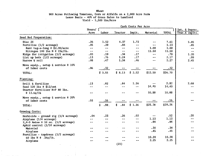# 900 Acres Following Tomatoes, Corn or Alfalfa on a 2,900 Acre Farm Lease Basis - 40% of Gross Sales to Landlord Yield - 5,500 Lbs/Acre

|                                                |               |               |                | Cash Costs Per Acre      |                          |              |                 |
|------------------------------------------------|---------------|---------------|----------------|--------------------------|--------------------------|--------------|-----------------|
|                                                | Hours/ $\int$ |               |                |                          |                          |              | Int. & Deprec.  |
|                                                | Acre          | Labor         | Tractor        | Implt.                   | Material                 | <b>TOTAL</b> | Trac. & Implts. |
| Seed Bed Preparation:                          |               |               |                |                          |                          |              |                 |
| Disc 2X                                        | .26           | 1.52          | 4.37           | 1.72                     | an an                    | 7.61         | 5.85            |
| Fertilize (1/2 acreage)                        | .05           | .29           | .84            | $\overline{\phantom{m}}$ | $-$ and $-$              | 1.13         | .85             |
| Rent tag-a-long @ \$2.00/acre                  | $\sim$ $-$    | $- -$         | $-1$           | $\overline{\phantom{m}}$ | 1.00                     | 1.00         | $- -$           |
| Nitrogen 100 1bs N @ $23¢/1b$ .                | $\sim$ $\sim$ | $\frac{1}{2}$ | $\sim$ $\sim$  | $\sim$ $\sim$            | 11.50                    | 11.50        | $\sim$ $\sim$   |
| Ridge for irrigation (1/2 acreage)             | .03           | .19           | .34            | .17                      | aa aa                    | .70          | 1.20            |
| List up beds $(1/2 \text{ acreage})$           | .13           | .76           | 1.24           | .17                      | m m                      | 2.17         | .99             |
| Harrow & roll                                  | .08           | .47           | 1.34           | .46                      | $\sim$                   | 2.27         | 2.45            |
| Move equip., setup & service @ 10%             |               |               |                |                          |                          |              |                 |
| of labor costs                                 | .06           | .32           |                |                          |                          | .32          |                 |
| TOTAL:                                         |               | \$3.55        | \$8.13         | \$2.52                   | \$12.50                  | \$26.70      |                 |
| Planting:                                      |               |               |                |                          |                          |              |                 |
| Drill & fertilize                              | .13           | .82           | .84            | 1.16                     | $\sim$ $\rightarrow$     | 2,82         | 2.68            |
| Seed 120 lbs @ \$12/cwt                        | $\sim$ $-$    |               |                | $\sim$                   | 14.40                    | 14.40        |                 |
| Starter fertilizer N+P 80 lbs.                 |               |               |                |                          |                          |              |                 |
| $0\ 13.6$ \$/1b                                | $-1$          |               |                | $\ddotsc$                | 10.88                    | 10.88        |                 |
| Move equip., setup & service @ 20%             |               |               |                |                          |                          |              |                 |
| of labor costs                                 | .03           | .16           |                |                          |                          | .16          |                 |
| TOTAL:                                         |               | \$<br>.98.    | \$<br>.84      | \$1.16                   | \$25.28                  | \$28,26      |                 |
| Growing Costs:                                 |               |               |                |                          |                          |              |                 |
| Herbicide - ground rig $(1/4$ acreage)         | .04           | .23           | .26            | .03                      | $\overline{\phantom{a}}$ | .52          | .20             |
| Airplane (1/4 acreage)                         | --            |               | - -            | es qu                    | 1.13                     | 1.13         |                 |
| $2,4-D$ Amine @ 10 oz. $(1/2 \text{ arcrage})$ | --            | $- -$         | $\blacksquare$ | --                       | .94                      | .94          |                 |
| Aphid control (1/10 acreage)                   |               |               |                |                          |                          |              |                 |
| Material                                       | $\frac{1}{2}$ |               |                | ÷.                       | .34                      | .34          |                 |
| Airplane                                       | --            |               |                | --                       | .45                      | .45          |                 |
| Fertilize - topdress $(1/2 \text{ arcrage})$   |               |               |                |                          |                          |              |                 |
| 60 lbs N $\theta$ . 34 $\frac{1}{2}$ 1b.       |               |               |                | $\sim$ $\sim$            | 10.20                    | 10,20        |                 |
| Airplane                                       |               |               |                | --                       | 2.25                     | 2.25         |                 |
|                                                |               |               | (21)           |                          |                          |              |                 |

Wheat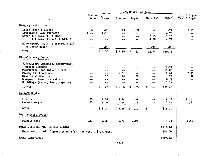| $\sigma_{\rm{eff}}$ , $\sigma_{\rm{eff}}$ , $\sigma_{\rm{eff}}$ , and                                                                                                                                                               |                                                  |                                   |                                              |                                                                                |                                                                                      |                                                          |                                  |
|-------------------------------------------------------------------------------------------------------------------------------------------------------------------------------------------------------------------------------------|--------------------------------------------------|-----------------------------------|----------------------------------------------|--------------------------------------------------------------------------------|--------------------------------------------------------------------------------------|----------------------------------------------------------|----------------------------------|
|                                                                                                                                                                                                                                     | Hours/<br>Acre                                   | Labor                             | Tractor                                      | Implt.                                                                         | Material                                                                             | <b>TOTAL</b>                                             | Int. & Deprec.<br>Trac. & Implt. |
|                                                                                                                                                                                                                                     |                                                  |                                   |                                              |                                                                                |                                                                                      |                                                          |                                  |
| Growing Costs - cont.                                                                                                                                                                                                               |                                                  |                                   |                                              |                                                                                |                                                                                      |                                                          |                                  |
| Ditch (open & close)<br>Irrigate @ 1.25 hrs/acre<br>Water 1/4 acre ft. @ \$8.50<br>1/4 acre ft. well @ \$19.16                                                                                                                      | .05<br>1.25<br>$-$<br>--                         | .29<br>6.70<br>— <b>—</b>         | .84<br>$-1$                                  | .09<br>$\blacksquare$                                                          | 2.13<br>4.79                                                                         | 1.22<br>6.70<br>2.13<br>4.79                             | 1.11<br>$\overline{\phantom{a}}$ |
| Move equip., setup & service @ 15%<br>of labor costs                                                                                                                                                                                | .01                                              | .08                               |                                              |                                                                                | .08                                                                                  | .08                                                      |                                  |
| TOTAL:                                                                                                                                                                                                                              |                                                  | \$7.30                            | \$1.10                                       | \$<br>.12                                                                      | \$22.23                                                                              | \$30.75                                                  |                                  |
| Miscellaneous Costs:                                                                                                                                                                                                                |                                                  |                                   |                                              |                                                                                |                                                                                      |                                                          |                                  |
| Supervisors salaries, accounting,<br>office expense<br>Production loan interest cost<br>Pickup and truck use<br>Misc. equipment use<br>Equipment loan interest cost<br>Buildings (taxes, ins., repairs)<br>TOTAL:<br>Harvest Costs: | $- -$<br>$- -$<br>--<br>$\overline{\phantom{a}}$ | --<br>.22<br>--<br>ł<br>\$<br>.22 | $= -$<br>2.61<br>.24<br>--<br>$-1$<br>\$2.85 | $\overline{\phantom{a}}$<br>.29<br>--<br>$\overline{\phantom{a}}$<br>\$<br>.29 | --<br>--<br>$\blacksquare$<br>$\overline{\phantom{a}}$<br>\$<br>$\ddot{\phantom{a}}$ | 13.74<br>10.85<br>2.61<br>.75<br>9.33<br>1.18<br>\$38.46 | 2.50<br>.99                      |
| Combine<br>Bankout wagon<br>TOTAL:                                                                                                                                                                                                  | .25<br>.25                                       | 1.58<br>1.46<br>\$3.04            | 7.84<br>.84<br>\$8.68                        | $\overline{\phantom{m}}$<br>.19<br>.19<br>\$                                   | \$<br>--                                                                             | 9.42<br>2.49<br>\$11.91                                  | 11.44<br>1.34                    |
| Post Harvest Costs:                                                                                                                                                                                                                 |                                                  |                                   |                                              |                                                                                |                                                                                      |                                                          |                                  |
| Stubble disc                                                                                                                                                                                                                        | .22                                              | 1.28                              | 3.70                                         | 2.06                                                                           |                                                                                      | 7.04                                                     | 5.68                             |
| TOTAL CULTURAL AND HARVEST COSTS:<br>Share rent - 40% of gross (some $1/3$ ) - 55 cwt. @ \$7.00/cwt.                                                                                                                                |                                                  |                                   |                                              |                                                                                |                                                                                      | \$143.12<br>154.00                                       |                                  |
| TOTAL CASH COSTS:                                                                                                                                                                                                                   |                                                  |                                   |                                              |                                                                                |                                                                                      | \$297.12                                                 |                                  |

 $\pm$ 

Ψ.

(22)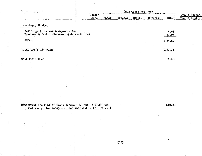| $\mathbf{V}^{\alpha} = \{ \gamma_{\alpha} \mid \alpha_{\beta} \in \mathbb{R} \}$ |        |       |         |        |          |                          |                |
|----------------------------------------------------------------------------------|--------|-------|---------|--------|----------|--------------------------|----------------|
|                                                                                  | Hours/ |       |         |        |          |                          | Int. & Deprec. |
|                                                                                  | Acre   | Labor | Tractor | Implt. | Material | <b>TOTAL</b>             | Trac. & Implt. |
| Investment Costs:                                                                |        |       |         |        |          | $\overline{\phantom{a}}$ |                |
| Buildings (interest & depreciation                                               |        |       |         |        |          | 6.68                     |                |
| Tractors & Implt. (interest & depreciation)                                      |        |       |         |        |          | 27.94                    |                |
| TOTAL:                                                                           |        |       |         |        |          | \$34.62                  |                |
| TOTAL COSTS PER ACRE:                                                            |        |       |         |        |          | \$331.74                 |                |
| Cost Per 100 wt.                                                                 |        |       |         |        |          | 6.03                     |                |
| $\bullet$                                                                        |        |       |         |        |          |                          |                |
|                                                                                  |        |       |         |        |          |                          |                |
|                                                                                  |        |       |         |        |          |                          |                |

Management fee @ 5% of Gross Income - 55 cwt. @ \$7.00/cwt. (usual charge for management not included in this study.)

(23)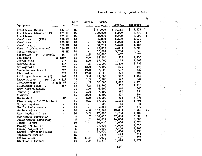Annual Costs of Equipment - Yolo 1

발음

 $\sigma_{\rm{max}}$ 

 $\begin{pmatrix} 1 \\ 1 \\ 0 \\ 0 \end{pmatrix} = \begin{pmatrix} 1 \\ 1 \\ 0 \\ 0 \end{pmatrix}$ 

 $\mathcal{O}_{\mathcal{X}}$  ,  $\mathcal{O}_{\mathcal{X}}$ 

 $\sim 10$ 

 $\Delta \sim$ 

 $\vec{v}_\mathrm{in}$ 

 $\frac{1}{2}$ 

 $\frac{1}{2} \frac{1}{2} \frac{1}{2}$  .

 $\frac{1}{2} \left( \frac{1}{2} \right)$ 

 $\mathcal{F}_{\text{c},\text{c}}^{(1)}$  $\mathbb{S}^n$ 

 $\mathcal{L}_{\mathcal{A}}$ 

 $\mathbf{r}$ 

 $\sim 8\,t_{\rm p}^{\rm c}$ 

 $\sim 10^7$  $\bar{z}$ 

 $\sim 10$ 

 $\mathcal{A}$  as

 $\mathcal{D}_{\mathcal{A}}^{(i)}$ 

 $\frac{1}{\sqrt{2\pi}}\int_{0}^{\frac{1}{2}}\frac{d\mu}{\lambda_{\mu}}\left( \frac{d\mu}{\lambda_{\mu}}\right) \frac{d\mu}{\lambda_{\mu}}\frac{d\mu}{\lambda_{\mu}}\frac{d\mu}{\lambda_{\mu}}\frac{d\mu}{\lambda_{\mu}}\frac{d\mu}{\lambda_{\mu}}\frac{d\mu}{\lambda_{\mu}}\frac{d\mu}{\lambda_{\mu}}\frac{d\mu}{\lambda_{\mu}}\frac{d\mu}{\lambda_{\mu}}\frac{d\mu}{\lambda_{\mu}}\frac{d\mu}{\lambda_{\mu}}\frac{d\mu}{\lambda_{\mu}}\frac{d\mu}{$ 

 $\mathcal{L}^{\pm}$ 

 $\begin{aligned} &\frac{\partial}{\partial t} \frac{\partial}{\partial t} \frac{\partial}{\partial t} \frac{\partial}{\partial t} \frac{\partial}{\partial t} \frac{\partial}{\partial t} \frac{\partial}{\partial t} \frac{\partial}{\partial t} \frac{\partial}{\partial t} \frac{\partial}{\partial t} \frac{\partial}{\partial t} \frac{\partial}{\partial t} \frac{\partial}{\partial t} \frac{\partial}{\partial t} \frac{\partial}{\partial t} \frac{\partial}{\partial t} \frac{\partial}{\partial t} \frac{\partial}{\partial t} \frac{\partial}{\partial t} \frac{\partial}{\partial t} \frac{\partial}{\partial t} \frac{\partial}{\partial t} \frac{\partial}{\partial t} \frac{\partial}{\partial$ 

Îу.

 $\mathcal{L}_{\mathcal{A}}$ 

 $\hat{\mathcal{A}}$ 

 $\mathcal{L}(\mathcal{P})$ 

 $\frac{1}{2}$  .

 $\overline{\phantom{a}}$ 

 $\sim$ 

 $\mathcal{A}^{\pm}$ 

Ξ.

 $\sum_{\alpha=1}^{\infty}$ 

 $\omega \sim \omega^*$ 

p,

 $\epsilon_{\rm c}$ 

V,

 $\epsilon$ 

 $\mathcal{S}^{\mathcal{S}}$ 

 $\mathcal{L}$ 

 $\mathcal{F}$ 

 $\overline{a}$ 

|                                |                           |      |                          |          |         |             | Ta:                               |
|--------------------------------|---------------------------|------|--------------------------|----------|---------|-------------|-----------------------------------|
|                                |                           | Life | Acres/                   | Orig.    |         |             |                                   |
| Equipment                      | Size                      | Yrs. | Hr.                      | Cost     | Deprec. | Interest    | Ŀ                                 |
| Tracklayer (used)              | 144 HP                    | 15   | $\blacksquare$           | \$47,000 | \$3,133 | 3,878<br>\$ | \$<br>$\mathcal{L}_{\mathcal{A}}$ |
| Tracklayer (drawbar HP)        | 125 HP                    | 15   | -                        | 120,000  | 8,000   | 9,900       | $1$ ,                             |
| Tracklayer                     | 125 HP                    | 15   | $\overline{\phantom{a}}$ | 120,000  | 8,000   | 9,900       | $1_{\bullet}$                     |
| Wheel tractor (PTO)            | 150 HP                    | 10   | ÷                        | 56,000   | 5,600   | 4,620       |                                   |
| Wheel tractor                  | 130 HP                    | 10   |                          | 50,700   | 5,070   | 4,183       | $\overline{1}$                    |
| Wheel tractor                  | 130 IIP                   | 10   | $\overline{a}$           | 50,700   | 5,070   | 4,183       | $\mathbb{L}$                      |
| Wheel (high clearance)         | 110 HP                    | 10   |                          | 40,000   | 4,000   | 3,300       |                                   |
| Wheel tractor                  | 85 HP                     | 10   | $\rightarrow$            | 32,000   | 3,200   | 2,640       |                                   |
| Subsoiler - $8'$ - 3 shanks    | 36"                       | 15   | 2.5                      | 10,000   | 667     | 825         |                                   |
| Tri-plane                      | 16'x40!                   | 15   | 6.0                      | 14,000   | 933     | 1,155       |                                   |
| Offset disc                    | 24'                       | 15   | 8.0                      | 17,000   | 1,133   | 1,403       |                                   |
| Stubble disc                   | 14'                       | 15   | 4.5                      | 21,000   | 1,400   | 1,733       |                                   |
| Springtooth                    | 32'                       | 15   | 12.0                     | 7,800    | 520     | 644         |                                   |
| Swede harrow & cart            | 32'                       | 15   | 12.0                     | 7,600    | 507     | 627         |                                   |
| Ring roller                    | 32'                       | 15   | 12.0                     | 4,800    | 320     | 396         |                                   |
| Rolling cultivators (2)        | 16'                       | 15   | 5.0                      | 14,000   | 933     | 1,155       |                                   |
| 36" dia. x 12'<br>Large roller |                           | 15   | 2.5                      | 7,800    | 520     | 644         |                                   |
| Incorporator (2)               | $3$ beds $5$ <sup>*</sup> | 10   | 2.5                      | 30,000   | 3,000   | 2,475       |                                   |
| Cultivator sleds (5)           | 16 <sup>†</sup>           | 15   | 3.5                      | 13,500   | 900     | 1,114       |                                   |
| Corn-beet planters             | -                         | 15   | 3.0                      | 6,600    | 440     | 545         |                                   |
| Tomato planters                |                           | 15   | 3.0                      | 7,200    | 480     | 594         |                                   |
| V ditcher                      |                           | 15   | 20.0                     | 4,800    | 320     | 396         |                                   |
| Grain drill                    | $20^{\circ}$              | 15   | 8.0                      | 12,500   | 833     | 1,031       |                                   |
| Plow 2 way $x 5-16$ " bottoms  |                           | 15   | 2.5                      | 17,000   | 1,133   | 1,403       |                                   |
| Sprayer system                 | -                         | 15   | $\tilde{}$               | 500      | 33      | 41          |                                   |
| Saddle tanks 4-sets            |                           | 15   | $\blacksquare$           | 5,800    | 387     | 479         |                                   |
| Grain combine                  | œ                         | 10   | 4.0                      | 100,000  | 10,000  | 8,250       | 1,                                |
| Corn header - 6 row            |                           | 10   | 3.5                      | 17,000   | 1,700   | 1,403       |                                   |
| New tomato harvester           |                           | 5    | $\cdot$ 7                | 160,000  | 32,000  | 13,200      | 1,                                |
| Older tomato harvester         | u.                        | 5    | $\cdot$ 7                | 80,000   | 16,000  | 6,600       |                                   |
| Truck - 2 ton                  |                           | 10   |                          | 16,000   | 1,600   | 1,320       |                                   |
| Pickup $3/4$ ton $(2)$         |                           | 5    |                          | 20,000   | 4,000   | 1,650       |                                   |
| Pickup compact (2)             |                           | 5    |                          | 17,000   | 3,400   | 1,403       |                                   |
| Lowbed w/tractor (used)        |                           | 15   |                          | 15,000   | 1,000   | 1,238       |                                   |
| Implement carrier              |                           | 15   |                          | 7,400    | 493     | 611         |                                   |
| Border maker                   |                           | 15   | 20.0                     | 7,000    | 467     | 578         |                                   |
| Electronic thinner             |                           | 10   | 3.0                      | 14,800   | 1,480   | 1,221       |                                   |

 $\mathcal{L}^{\pm}$ 

(24)